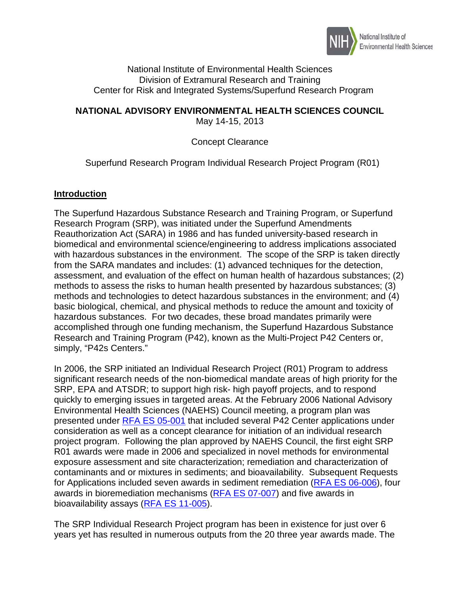

### National Institute of Environmental Health Sciences Division of Extramural Research and Training Center for Risk and Integrated Systems/Superfund Research Program

### **NATIONAL ADVISORY ENVIRONMENTAL HEALTH SCIENCES COUNCIL**  May 14-15, 2013

# Concept Clearance

# Superfund Research Program Individual Research Project Program (R01)

## **Introduction**

 Reauthorization Act (SARA) in 1986 and has funded university-based research in with hazardous substances in the environment. The scope of the SRP is taken directly hazardous substances. For two decades, these broad mandates primarily were simply, "P42s Centers." The Superfund Hazardous Substance Research and Training Program, or Superfund Research Program (SRP), was initiated under the Superfund Amendments biomedical and environmental science/engineering to address implications associated from the SARA mandates and includes: (1) advanced techniques for the detection, assessment, and evaluation of the effect on human health of hazardous substances; (2) methods to assess the risks to human health presented by hazardous substances; (3) methods and technologies to detect hazardous substances in the environment; and (4) basic biological, chemical, and physical methods to reduce the amount and toxicity of accomplished through one funding mechanism, the Superfund Hazardous Substance Research and Training Program (P42), known as the Multi-Project P42 Centers or,

 significant research needs of the non-biomedical mandate areas of high priority for the SRP, EPA and ATSDR; to support high risk- high payoff projects, and to respond Environmental Health Sciences (NAEHS) Council meeting, a program plan was bioavailability assays (RFA ES 11-005). In 2006, the SRP initiated an Individual Research Project (R01) Program to address quickly to emerging issues in targeted areas. At the February 2006 National Advisory presented under [RFA ES 05-001](http://grants.nih.gov/grants/guide/rfa-files/RFA-ES-05-001.html) that included several P42 Center applications under consideration as well as a concept clearance for initiation of an individual research project program. Following the plan approved by NAEHS Council, the first eight SRP R01 awards were made in 2006 and specialized in novel methods for environmental exposure assessment and site characterization; remediation and characterization of contaminants and or mixtures in sediments; and bioavailability. Subsequent Requests for Applications included seven awards in sediment remediation [\(RFA ES 06-006\)](http://grants.nih.gov/grants/guide/rfa-files/RFA-ES-06-006.html), four awards in bioremediation mechanisms [\(RFA ES 07-007\)](http://grants.nih.gov/grants/guide/rfa-files/RFA-ES-07-007.html) and five awards in

 years yet has resulted in numerous outputs from the 20 three year awards made. The The SRP Individual Research Project program has been in existence for just over 6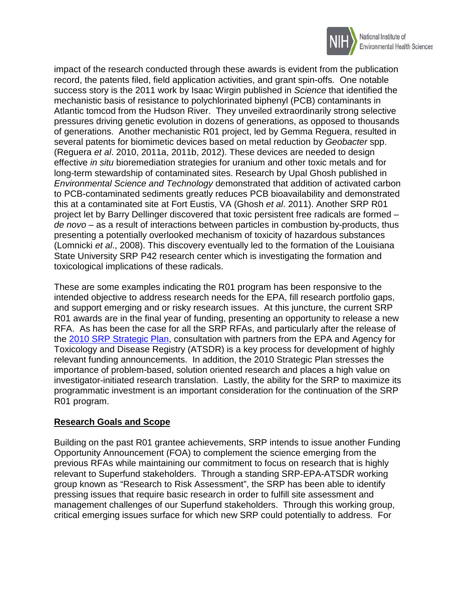

 impact of the research conducted through these awards is evident from the publication success story is the 2011 work by Isaac Wirgin published in *Science* that identified the mechanistic basis of resistance to polychlorinated biphenyl (PCB) contaminants in of generations. Another mechanistic R01 project, led by Gemma Reguera, resulted in several patents for biomimetic devices based on metal reduction by *Geobacter* spp. effective *in situ* bioremediation strategies for uranium and other toxic metals and for this at a contaminated site at Fort Eustis, VA (Ghosh *et al*. 2011). Another SRP R01 *de novo* – as a result of interactions between particles in combustion by-products, thus record, the patents filed, field application activities, and grant spin-offs. One notable Atlantic tomcod from the Hudson River. They unveiled extraordinarily strong selective pressures driving genetic evolution in dozens of generations, as opposed to thousands (Reguera *et al*. 2010, 2011a, 2011b, 2012). These devices are needed to design long-term stewardship of contaminated sites. Research by Upal Ghosh published in *Environmental Science and Technology* demonstrated that addition of activated carbon to PCB-contaminated sediments greatly reduces PCB bioavailability and demonstrated project let by Barry Dellinger discovered that toxic persistent free radicals are formed – presenting a potentially overlooked mechanism of toxicity of hazardous substances (Lomnicki *et al*., 2008). This discovery eventually led to the formation of the Louisiana State University SRP P42 research center which is investigating the formation and toxicological implications of these radicals.

 These are some examples indicating the R01 program has been responsive to the and support emerging and or risky research issues. At this juncture, the current SRP the [2010 SRP Strategic Plan,](http://www.niehs.nih.gov/research/supported/assets/docs/r_s/srp_about_2010_plan.pdf) consultation with partners from the EPA and Agency for Toxicology and Disease Registry (ATSDR) is a key process for development of highly relevant funding announcements. In addition, the 2010 Strategic Plan stresses the R01 program. intended objective to address research needs for the EPA, fill research portfolio gaps, R01 awards are in the final year of funding, presenting an opportunity to release a new RFA. As has been the case for all the SRP RFAs, and particularly after the release of importance of problem-based, solution oriented research and places a high value on investigator-initiated research translation. Lastly, the ability for the SRP to maximize its programmatic investment is an important consideration for the continuation of the SRP

# **Research Goals and Scope**

 Opportunity Announcement (FOA) to complement the science emerging from the Building on the past R01 grantee achievements, SRP intends to issue another Funding previous RFAs while maintaining our commitment to focus on research that is highly relevant to Superfund stakeholders. Through a standing SRP-EPA-ATSDR working group known as "Research to Risk Assessment", the SRP has been able to identify pressing issues that require basic research in order to fulfill site assessment and management challenges of our Superfund stakeholders. Through this working group, critical emerging issues surface for which new SRP could potentially to address. For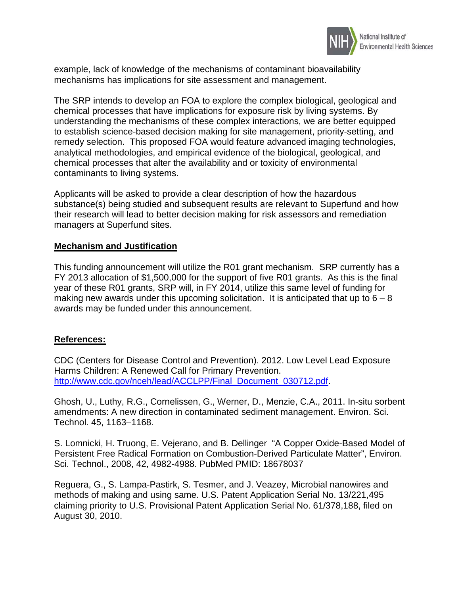

example, lack of knowledge of the mechanisms of contaminant bioavailability mechanisms has implications for site assessment and management.

contaminants to living systems. The SRP intends to develop an FOA to explore the complex biological, geological and chemical processes that have implications for exposure risk by living systems. By understanding the mechanisms of these complex interactions, we are better equipped to establish science-based decision making for site management, priority-setting, and remedy selection. This proposed FOA would feature advanced imaging technologies, analytical methodologies, and empirical evidence of the biological, geological, and chemical processes that alter the availability and or toxicity of environmental

 managers at Superfund sites. Applicants will be asked to provide a clear description of how the hazardous substance(s) being studied and subsequent results are relevant to Superfund and how their research will lead to better decision making for risk assessors and remediation

### **Mechanism and Justification**

 This funding announcement will utilize the R01 grant mechanism. SRP currently has a FY 2013 allocation of \$1,500,000 for the support of five R01 grants. As this is the final year of these R01 grants, SRP will, in FY 2014, utilize this same level of funding for making new awards under this upcoming solicitation. It is anticipated that up to  $6 - 8$ awards may be funded under this announcement.

#### **References:**

 CDC (Centers for Disease Control and Prevention). 2012. Low Level Lead Exposure Harms Children: A Renewed Call for Primary Prevention. [http://www.cdc.gov/nceh/lead/ACCLPP/Final\\_Document\\_030712.pdf.](http://www.cdc.gov/nceh/lead/ACCLPP/Final_Document_030712.pdf)

Technol. 45, 1163-1168. Ghosh, U., Luthy, R.G., Cornelissen, G., Werner, D., Menzie, C.A., 2011. In-situ sorbent amendments: A new direction in contaminated sediment management. Environ. Sci.

S. Lomnicki, H. Truong, E. Vejerano, and B. Dellinger "A Copper Oxide-Based Model of Persistent Free Radical Formation on Combustion-Derived Particulate Matter", Environ. Sci. Technol., 2008, 42, 4982-4988. PubMed PMID: 18678037

 claiming priority to U.S. Provisional Patent Application Serial No. 61/378,188, filed on Reguera, G., S. Lampa-Pastirk, S. Tesmer, and J. Veazey, Microbial nanowires and methods of making and using same. U.S. Patent Application Serial No. 13/221,495 August 30, 2010.